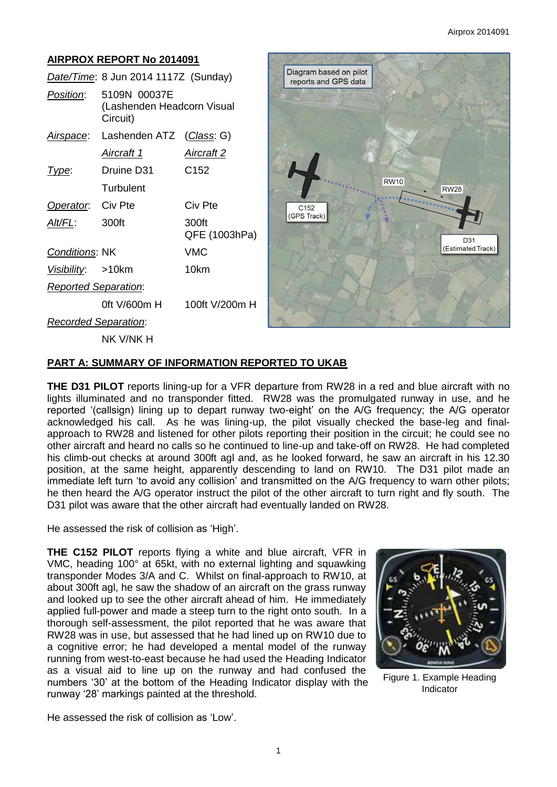## **AIRPROX REPORT No 2014091**

|                             | Date/Time: 8 Jun 2014 1117Z (Sunday)                   |                        |
|-----------------------------|--------------------------------------------------------|------------------------|
| <i>Position</i> :           | 5109N 00037E<br>(Lashenden Headcorn Visual<br>Circuit) |                        |
| <u>Airspace</u> :           | Lashenden ATZ (Class: G)                               |                        |
|                             | Aircraft 1                                             | Aircraft 2             |
| Type:                       | Druine D31                                             | C152                   |
|                             | Turbulent                                              |                        |
| Operator.                   | Civ Pte                                                | Civ Pte                |
| Alt/FL:                     | 300ft                                                  | 300ft<br>QFE (1003hPa) |
| <b>Conditions: NK</b>       |                                                        | <b>VMC</b>             |
| Visibility: >10km           |                                                        | 10km                   |
| <b>Reported Separation:</b> |                                                        |                        |
|                             | 0ft V/600m H                                           | 100ft V/200m H         |
| <b>Recorded Separation:</b> |                                                        |                        |
|                             | NK V/NK H                                              |                        |



### **PART A: SUMMARY OF INFORMATION REPORTED TO UKAB**

**THE D31 PILOT** reports lining-up for a VFR departure from RW28 in a red and blue aircraft with no lights illuminated and no transponder fitted. RW28 was the promulgated runway in use, and he reported '(callsign) lining up to depart runway two-eight' on the A/G frequency; the A/G operator acknowledged his call. As he was lining-up, the pilot visually checked the base-leg and finalapproach to RW28 and listened for other pilots reporting their position in the circuit; he could see no other aircraft and heard no calls so he continued to line-up and take-off on RW28. He had completed his climb-out checks at around 300ft agl and, as he looked forward, he saw an aircraft in his 12.30 position, at the same height, apparently descending to land on RW10. The D31 pilot made an immediate left turn 'to avoid any collision' and transmitted on the A/G frequency to warn other pilots; he then heard the A/G operator instruct the pilot of the other aircraft to turn right and fly south. The D31 pilot was aware that the other aircraft had eventually landed on RW28.

He assessed the risk of collision as 'High'.

**THE C152 PILOT** reports flying a white and blue aircraft, VFR in VMC, heading 100° at 65kt, with no external lighting and squawking transponder Modes 3/A and C. Whilst on final-approach to RW10, at about 300ft agl, he saw the shadow of an aircraft on the grass runway and looked up to see the other aircraft ahead of him. He immediately applied full-power and made a steep turn to the right onto south. In a thorough self-assessment, the pilot reported that he was aware that RW28 was in use, but assessed that he had lined up on RW10 due to a cognitive error; he had developed a mental model of the runway running from west-to-east because he had used the Heading Indicator as a visual aid to line up on the runway and had confused the numbers '30' at the bottom of the Heading Indicator display with the runway '28' markings painted at the threshold.



Figure 1. Example Heading Indicator

He assessed the risk of collision as 'Low'.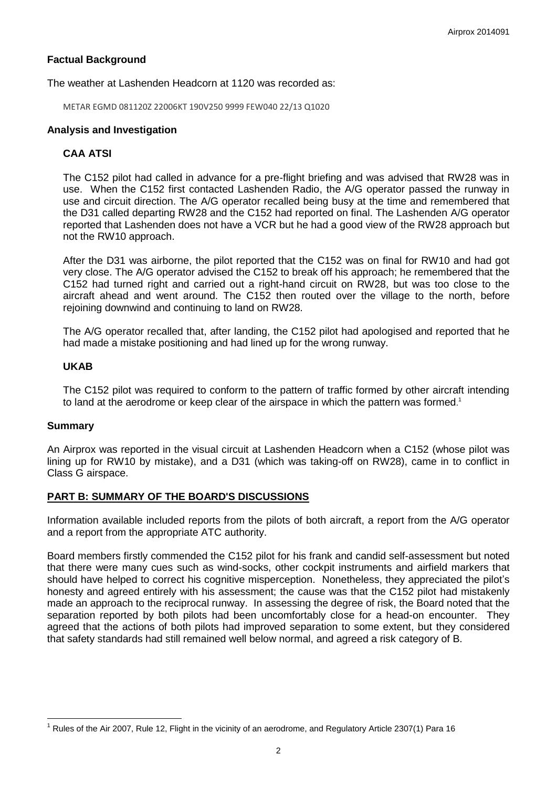# **Factual Background**

#### The weather at Lashenden Headcorn at 1120 was recorded as:

METAR EGMD 081120Z 22006KT 190V250 9999 FEW040 22/13 Q1020

### **Analysis and Investigation**

## **CAA ATSI**

The C152 pilot had called in advance for a pre-flight briefing and was advised that RW28 was in use. When the C152 first contacted Lashenden Radio, the A/G operator passed the runway in use and circuit direction. The A/G operator recalled being busy at the time and remembered that the D31 called departing RW28 and the C152 had reported on final. The Lashenden A/G operator reported that Lashenden does not have a VCR but he had a good view of the RW28 approach but not the RW10 approach.

After the D31 was airborne, the pilot reported that the C152 was on final for RW10 and had got very close. The A/G operator advised the C152 to break off his approach; he remembered that the C152 had turned right and carried out a right-hand circuit on RW28, but was too close to the aircraft ahead and went around. The C152 then routed over the village to the north, before rejoining downwind and continuing to land on RW28.

The A/G operator recalled that, after landing, the C152 pilot had apologised and reported that he had made a mistake positioning and had lined up for the wrong runway.

### **UKAB**

The C152 pilot was required to conform to the pattern of traffic formed by other aircraft intending to land at the aerodrome or keep clear of the airspace in which the pattern was formed.<sup>1</sup>

#### **Summary**

 $\overline{a}$ 

An Airprox was reported in the visual circuit at Lashenden Headcorn when a C152 (whose pilot was lining up for RW10 by mistake), and a D31 (which was taking-off on RW28), came in to conflict in Class G airspace.

### **PART B: SUMMARY OF THE BOARD'S DISCUSSIONS**

Information available included reports from the pilots of both aircraft, a report from the A/G operator and a report from the appropriate ATC authority.

Board members firstly commended the C152 pilot for his frank and candid self-assessment but noted that there were many cues such as wind-socks, other cockpit instruments and airfield markers that should have helped to correct his cognitive misperception. Nonetheless, they appreciated the pilot's honesty and agreed entirely with his assessment; the cause was that the C152 pilot had mistakenly made an approach to the reciprocal runway. In assessing the degree of risk, the Board noted that the separation reported by both pilots had been uncomfortably close for a head-on encounter. They agreed that the actions of both pilots had improved separation to some extent, but they considered that safety standards had still remained well below normal, and agreed a risk category of B.

 $1$  Rules of the Air 2007, Rule 12, Flight in the vicinity of an aerodrome, and Regulatory Article 2307(1) Para 16